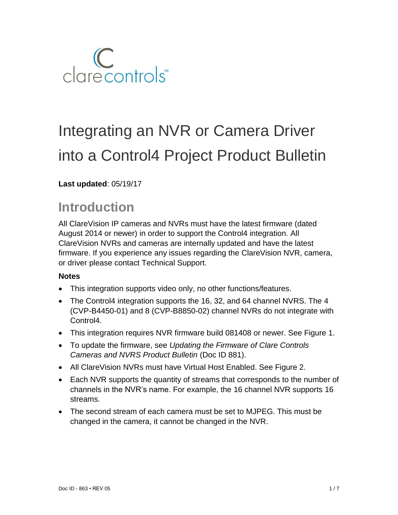

# Integrating an NVR or Camera Driver into a Control4 Project Product Bulletin

## **Last updated**: 05/19/17

# **Introduction**

All ClareVision IP cameras and NVRs must have the latest firmware (dated August 2014 or newer) in order to support the Control4 integration. All ClareVision NVRs and cameras are internally updated and have the latest firmware. If you experience any issues regarding the ClareVision NVR, camera, or driver please contact Technical Support.

#### **Notes**

- This integration supports video only, no other functions/features.
- The Control4 integration supports the 16, 32, and 64 channel NVRS. The 4 (CVP-B4450-01) and 8 (CVP-B8850-02) channel NVRs do not integrate with Control4.
- This integration requires NVR firmware build 081408 or newer. See Figure 1.
- To update the firmware, see *Updating the Firmware of Clare Controls Cameras and NVRS Product Bulletin* (Doc ID 881).
- All ClareVision NVRs must have Virtual Host Enabled. See Figure 2.
- Each NVR supports the quantity of streams that corresponds to the number of channels in the NVR's name. For example, the 16 channel NVR supports 16 streams.
- The second stream of each camera must be set to MJPEG. This must be changed in the camera, it cannot be changed in the NVR.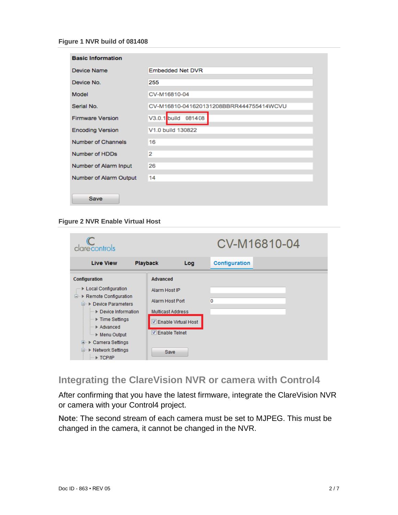| <b>Basic Information</b> |                                         |
|--------------------------|-----------------------------------------|
| Device Name              | <b>Embedded Net DVR</b>                 |
| Device No.               | 255                                     |
| Model                    | CV-M16810-04                            |
| Serial No.               | CV-M16810-041620131208BBRR444755414WCVU |
| <b>Firmware Version</b>  | $V3.0.1$ build<br>081408                |
| <b>Encoding Version</b>  | V1.0 build 130822                       |
| Number of Channels       | 16                                      |
| Number of HDDs           | $\overline{2}$                          |
| Number of Alarm Input    | 26                                      |
| Number of Alarm Output   | 14                                      |
| Save                     |                                         |

**Figure 2 NVR Enable Virtual Host**

| clarecontrols                                                                                                                                                                                                                                                                                      |                                                                                                                                            | CV-M16810-04         |
|----------------------------------------------------------------------------------------------------------------------------------------------------------------------------------------------------------------------------------------------------------------------------------------------------|--------------------------------------------------------------------------------------------------------------------------------------------|----------------------|
| <b>Live View</b>                                                                                                                                                                                                                                                                                   | <b>Playback</b><br>Log                                                                                                                     | <b>Configuration</b> |
| Configuration<br>▶ Local Configuration<br><b>E</b> . ▶ Remote Configuration<br><b>E</b> . ▶ Device Parameters<br>→ Device Information<br>i ▶ Time Settings<br>Advanced<br><sup>i</sup> ▶ Menu Output<br>▶ Camera Settings<br>œ<br><b>D</b> <sup></sup> ▶ Network Settings<br>$\blacksquare$ TCP/IP | <b>Advanced</b><br>Alarm Host IP<br>Alarm Host Port<br>Multicast Address<br><b>√</b> Enable Virtual Host<br><b>▽ Enable Telnet</b><br>Save | 0                    |

# **Integrating the ClareVision NVR or camera with Control4**

After confirming that you have the latest firmware, integrate the ClareVision NVR or camera with your Control4 project.

**Note**: The second stream of each camera must be set to MJPEG. This must be changed in the camera, it cannot be changed in the NVR.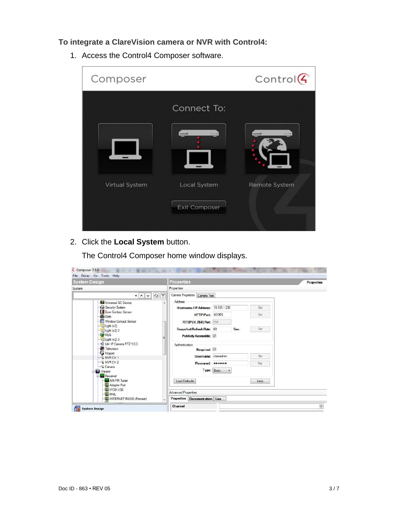### **To integrate a ClareVision camera or NVR with Control4:**

1. Access the Control4 Composer software.

| Composer       |                       | $Control$ $G$      |
|----------------|-----------------------|--------------------|
|                | Connect To:           |                    |
|                | Cornwall <sup>7</sup> | <b>Control (C)</b> |
|                |                       |                    |
| Virtual System | Local System          | Remote System      |
|                | <b>Exit Composer</b>  |                    |
|                |                       |                    |

2. Click the **Local System** button.

The Control4 Composer home window displays.

| <b>System Design</b>                                                                                                                                                                                                                                                                                                                  | <b>Properties</b><br><b>Properties</b>                                                                                                                                                                                                                                   |      |                                 |
|---------------------------------------------------------------------------------------------------------------------------------------------------------------------------------------------------------------------------------------------------------------------------------------------------------------------------------------|--------------------------------------------------------------------------------------------------------------------------------------------------------------------------------------------------------------------------------------------------------------------------|------|---------------------------------|
| System                                                                                                                                                                                                                                                                                                                                | Properties                                                                                                                                                                                                                                                               |      |                                 |
| Ÿ<br>$\epsilon$<br>$\cdot$ $\sim$ $\cdot$<br>Universal GC Device<br>Security System<br>Door Contact Sensor<br><b>E</b> Gate<br>Window Contact Sensor<br>$L$ Light $(v2)$<br>$U$ Light (v2) 2<br><b>God</b> MyQ<br>$\Box$ Light (v2) 3<br>Lilin IP Camera PTZ 1.0.0<br>Television<br>Hopper<br>NVR CH 1<br>$\neg$ NVR CH 2<br>- Camera | Camera Properties Camera Test<br>Address<br>Hostname / IP Address: 10.100.1.230<br>HTTPPort 65001<br>RTSP(H.264) Port 554<br>Snapshot Refresh Rate: 60<br><b>Publicly Accessible:</b><br>Authentication<br>Required:<br>Username: clareadmin<br>Password:<br>Type: Basic | Sec. | Set<br>Set<br>Set<br>Set<br>Set |
| <b>Li</b> Theater<br><b>Receiver</b><br>AM/FM Tuner<br>Adapter Port<br>IPOD-USB<br>MHL<br>INTERNET RADIO (Pioneer)                                                                                                                                                                                                                    | <b>Load Defaults</b><br><b>Advanced Properties</b><br>Properties Documentation Lua                                                                                                                                                                                       |      | Help                            |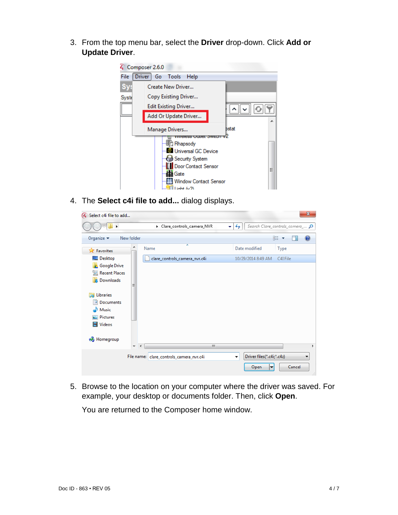3. From the top menu bar, select the **Driver** drop-down. Click **Add or Update Driver**.



4. The **Select c4i file to add...** dialog displays.

| 4 Select c4i file to add                                          |                                          | $\mathbf{x}$                                               |
|-------------------------------------------------------------------|------------------------------------------|------------------------------------------------------------|
| ×.                                                                | Clare_controls_camera_NVR                | Search Clare controls camera  p<br>$\ddotmark$<br>٠        |
| Organize $\blacktriangleright$                                    | New folder                               | 睚<br>$\boldsymbol{\Omega}$                                 |
| <b>X</b> Favorites                                                | ≖<br>Name                                | Date modified<br>Type                                      |
| Desktop                                                           | clare_controls_camera_nvr.c4i            | 10/29/2014 8:49 AM<br>C4I File                             |
| <b>Google Drive</b><br><b>Recent Places</b><br>嗣<br>Downloads     | Ξ                                        |                                                            |
| Libraries<br>Documents<br>×<br>Music<br>Pictures<br><b>Videos</b> |                                          |                                                            |
| <b>R</b> Homegroup                                                | Ш<br>۰<br>٠                              | ۱                                                          |
|                                                                   | File name: clare_controls_camera_nvr.c4i | Driver files(*.c4i;*.c4z)<br>۰<br>▼<br>Cancel<br>Open<br>▼ |

5. Browse to the location on your computer where the driver was saved. For example, your desktop or documents folder. Then, click **Open**.

You are returned to the Composer home window.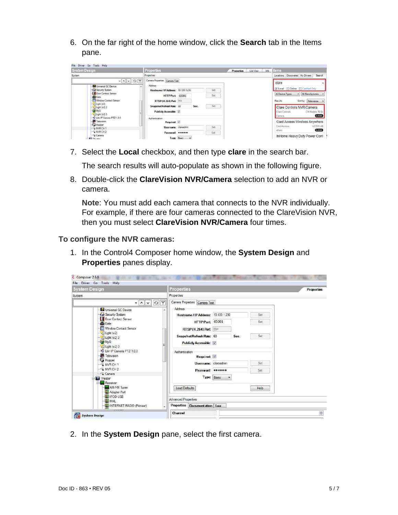6. On the far right of the home window, click the **Search** tab in the Items pane.

| <b>System Design</b>                                             | Properties                                                  | List View<br><b>Properties</b> | <b>items</b><br>Info                                                    |
|------------------------------------------------------------------|-------------------------------------------------------------|--------------------------------|-------------------------------------------------------------------------|
| System.                                                          | <b>Properties</b>                                           |                                | Locations Discovered My Drivers<br>Search                               |
| $- 0  \times  0 $<br>Universal GC Device                         | Canera Properties Canera Test<br>Address                    |                                | dare                                                                    |
| Security System                                                  | Hostname / IP Address: 10.100.1.230                         | Set                            | V Local Conline El Certified Only                                       |
| Door Contact Sensor<br>di Gate                                   | HTTPPort 65001                                              | Set                            | - All Manufacturers<br>Al Device Types                                  |
| Window Contact Sensor                                            | RTSP(H.264) Port: 554                                       |                                | Sortby: Relevance -<br>Results                                          |
| -Elight (v2)<br>$U$ Light (v2) 2<br><b>OB</b> MyQ<br>Lipt (v2) 3 | Snapshot Refresh Rate: 60<br>Sec.<br>Publicly Accessible:   | Set                            | Clare Controls NVR/Camera<br>CH Models 16-64<br>Clare Controls<br>Local |
| Uln IP Camera PTZ 1.0.0<br>Television<br>Hopper                  | Asthentication<br>Required:                                 |                                | Camera<br>Card Access Wireless Anywhere<br>WCS10-AB<br>Card Access      |
| WRCH 1                                                           | Username: clareadmin                                        | Set                            | Local<br>cthers                                                         |
| WWRCH <sub>2</sub><br>Camera<br><b>Samuel</b>                    | Password *******<br>Type: Rasic<br>$\overline{\phantom{a}}$ | Set                            | InHome Heavy Duty Power Cont                                            |

7. Select the **Local** checkbox, and then type **clare** in the search bar.

The search results will auto-populate as shown in the following figure.

8. Double-click the **ClareVision NVR/Camera** selection to add an NVR or camera.

**Note**: You must add each camera that connects to the NVR individually. For example, if there are four cameras connected to the ClareVision NVR, then you must select **ClareVision NVR/Camera** four times.

#### **To configure the NVR cameras:**

1. In the Control4 Composer home window, the **System Design** and **Properties** panes display.

| <b>System Design</b>                                                                                                                                                                                                                                                                                                                                                                                                       | <b>Properties</b>                                                                                                                                                                                                                                                                                                                                         | <b>Properties</b> |
|----------------------------------------------------------------------------------------------------------------------------------------------------------------------------------------------------------------------------------------------------------------------------------------------------------------------------------------------------------------------------------------------------------------------------|-----------------------------------------------------------------------------------------------------------------------------------------------------------------------------------------------------------------------------------------------------------------------------------------------------------------------------------------------------------|-------------------|
| System                                                                                                                                                                                                                                                                                                                                                                                                                     | Properties                                                                                                                                                                                                                                                                                                                                                |                   |
| $\mathcal{L}_{\mathcal{F}}$<br>$\sim$ $\vee$<br>۰<br><b>Ed Universal GC Device</b><br>Security System<br>Door Contact Sensor<br><b>i</b> Gate<br>Window Contact Sensor<br>$L$ Light $(v2)$<br>$U$ Light (v2) 2<br><b>OWN</b><br>$\Box$ Light (v2) 3<br>Lilin IP Camera PTZ 1.0.0<br>Television<br>Hopper<br>NVRCH <sub>1</sub><br>NVR CH <sub>2</sub><br>- Camera<br><b>Li</b> Theater<br><b>B</b> Receiver<br>AM/FM Tuner | Camera Properties Camera Test<br>Address<br>Hostname / IP Address: 10.100.1.230<br>Set<br>HTTPPort 65001<br>Set<br>RTSP(H.264) Port 554<br>Set<br>Snapshot Refresh Rate: 60<br>Sec.<br>Publicly Accessible:<br>Authentication<br>Required:<br>Username: clareadmin<br>Set<br>Password: 0000000<br>Set<br>Type: Basic<br>٠<br><b>Load Defaults</b><br>Help |                   |
| Adapter Port<br><b>IPOD-USB</b><br>MHL                                                                                                                                                                                                                                                                                                                                                                                     | <b>Advanced Properties</b>                                                                                                                                                                                                                                                                                                                                |                   |
| INTERNET RADIO (Pioneer)                                                                                                                                                                                                                                                                                                                                                                                                   | Properties Documentation Lua                                                                                                                                                                                                                                                                                                                              |                   |

2. In the **System Design** pane, select the first camera.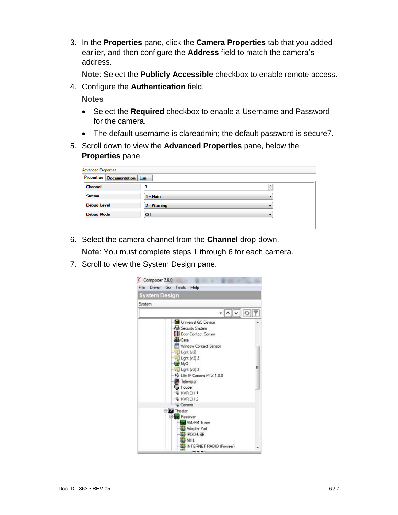3. In the **Properties** pane, click the **Camera Properties** tab that you added earlier, and then configure the **Address** field to match the camera's address.

**Note**: Select the **Publicly Accessible** checkbox to enable remote access.

4. Configure the **Authentication** field.

**Notes**

- Select the **Required** checkbox to enable a Username and Password for the camera.
- The default username is clareadmin; the default password is secure7.
- 5. Scroll down to view the **Advanced Properties** pane, below the **Properties** pane.

| <b>Advanced Properties</b>   |               |   |
|------------------------------|---------------|---|
| Properties Documentation Lua |               |   |
| Channel                      |               | ÷ |
| <b>Stream</b>                | $1 - Main$    |   |
| <b>Debug Level</b>           | $2 - W$ aming |   |
| <b>Debug Mode</b>            | Off           |   |
|                              |               |   |

6. Select the camera channel from the **Channel** drop-down.

**Note**: You must complete steps 1 through 6 for each camera.

7. Scroll to view the System Design pane.